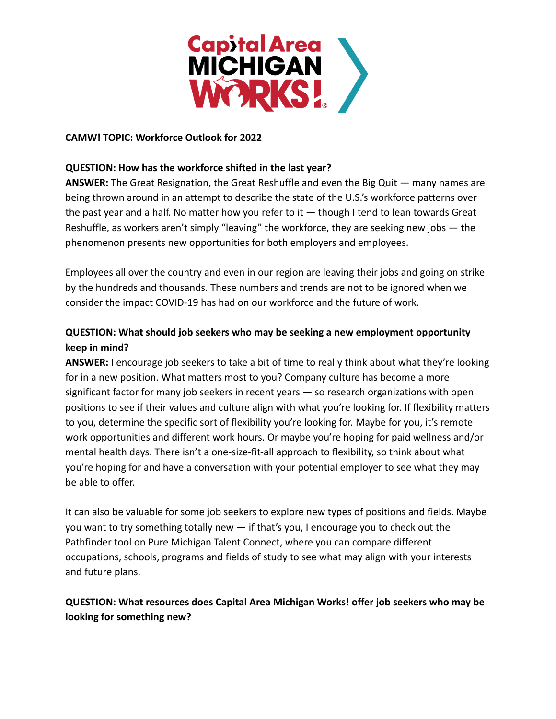

## **CAMW! TOPIC: Workforce Outlook for 2022**

## **QUESTION: How has the workforce shifted in the last year?**

**ANSWER:** The Great Resignation, the Great Reshuffle and even the Big Quit — many names are being thrown around in an attempt to describe the state of the U.S.'s workforce patterns over the past year and a half. No matter how you refer to it  $-$  though I tend to lean towards Great Reshuffle, as workers aren't simply "leaving" the workforce, they are seeking new jobs — the phenomenon presents new opportunities for both employers and employees.

Employees all over the country and even in our region are leaving their jobs and going on strike by the hundreds and thousands. These numbers and trends are not to be ignored when we consider the impact COVID-19 has had on our workforce and the future of work.

## **QUESTION: What should job seekers who may be seeking a new employment opportunity keep in mind?**

**ANSWER:** I encourage job seekers to take a bit of time to really think about what they're looking for in a new position. What matters most to you? Company culture has become a more significant factor for many job seekers in recent years — so research organizations with open positions to see if their values and culture align with what you're looking for. If flexibility matters to you, determine the specific sort of flexibility you're looking for. Maybe for you, it's remote work opportunities and different work hours. Or maybe you're hoping for paid wellness and/or mental health days. There isn't a one-size-fit-all approach to flexibility, so think about what you're hoping for and have a conversation with your potential employer to see what they may be able to offer.

It can also be valuable for some job seekers to explore new types of positions and fields. Maybe you want to try something totally new — if that's you, I encourage you to check out the Pathfinder tool on Pure Michigan Talent Connect, where you can compare different occupations, schools, programs and fields of study to see what may align with your interests and future plans.

## **QUESTION: What resources does Capital Area Michigan Works! offer job seekers who may be looking for something new?**